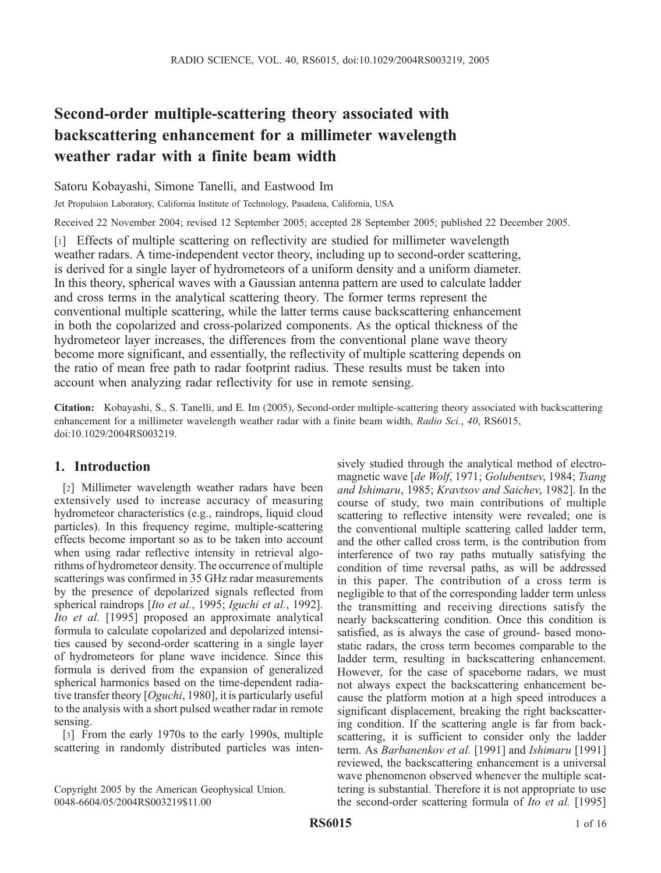# Second-order multiple-scattering theory associated with backscattering enhancement for a millimeter wavelength weather radar with a finite beam width

Satoru Kobayashi, Simone Tanelli, and Eastwood Im

Jet Propulsion Laboratory, California Institute of Technology, Pasadena, California, USA

Received 22 November 2004; revised 12 September 2005; accepted 28 September 2005; published 22 December 2005.

[1] Effects of multiple scattering on reflectivity are studied for millimeter wavelength weather radars. A time-independent vector theory, including up to second-order scattering, is derived for a single layer of hydrometeors of a uniform density and a uniform diameter. In this theory, spherical waves with a Gaussian antenna pattern are used to calculate ladder and cross terms in the analytical scattering theory. The former terms represent the conventional multiple scattering, while the latter terms cause backscattering enhancement in both the copolarized and cross-polarized components. As the optical thickness of the hydrometeor layer increases, the differences from the conventional plane wave theory become more significant, and essentially, the reflectivity of multiple scattering depends on the ratio of mean free path to radar footprint radius. These results must be taken into account when analyzing radar reflectivity for use in remote sensing.

Citation: Kobayashi, S., S. Tanelli, and E. Im (2005), Second-order multiple-scattering theory associated with backscattering enhancement for a millimeter wavelength weather radar with a finite beam width, Radio Sci., 40, RS6015, doi:10.1029/2004RS003219.

# 1. Introduction

[2] Millimeter wavelength weather radars have been extensively used to increase accuracy of measuring hydrometeor characteristics (e.g., raindrops, liquid cloud particles). In this frequency regime, multiple-scattering effects become important so as to be taken into account when using radar reflective intensity in retrieval algorithms of hydrometeor density. The occurrence of multiple scatterings was confirmed in 35 GHz radar measurements by the presence of depolarized signals reflected from spherical raindrops [Ito et al., 1995; Iguchi et al., 1992]. Ito et al. [1995] proposed an approximate analytical formula to calculate copolarized and depolarized intensities caused by second-order scattering in a single layer of hydrometeors for plane wave incidence. Since this formula is derived from the expansion of generalized spherical harmonics based on the time-dependent radiative transfer theory [Oguchi, 1980], it is particularly useful to the analysis with a short pulsed weather radar in remote sensing.

[3] From the early 1970s to the early 1990s, multiple scattering in randomly distributed particles was intensively studied through the analytical method of electromagnetic wave *[de Wolf, 1971; Golubentsev, 1984; Tsang* and Ishimaru, 1985; Kravtsov and Saichev, 1982]. In the course of study, two main contributions of multiple scattering to reflective intensity were revealed; one is the conventional multiple scattering called ladder term, and the other called cross term, is the contribution from interference of two ray paths mutually satisfying the condition of time reversal paths, as will be addressed in this paper. The contribution of a cross term is negligible to that of the corresponding ladder term unless the transmitting and receiving directions satisfy the nearly backscattering condition. Once this condition is satisfied, as is always the case of ground- based monostatic radars, the cross term becomes comparable to the ladder term, resulting in backscattering enhancement. However, for the case of spaceborne radars, we must not always expect the backscattering enhancement because the platform motion at a high speed introduces a significant displacement, breaking the right backscattering condition. If the scattering angle is far from backscattering, it is sufficient to consider only the ladder term. As Barbanenkov et al. [1991] and Ishimaru [1991] reviewed, the backscattering enhancement is a universal wave phenomenon observed whenever the multiple scattering is substantial. Therefore it is not appropriate to use the second-order scattering formula of *Ito et al.* [1995]

Copyright 2005 by the American Geophysical Union. 0048-6604/05/2004RS003219\$11.00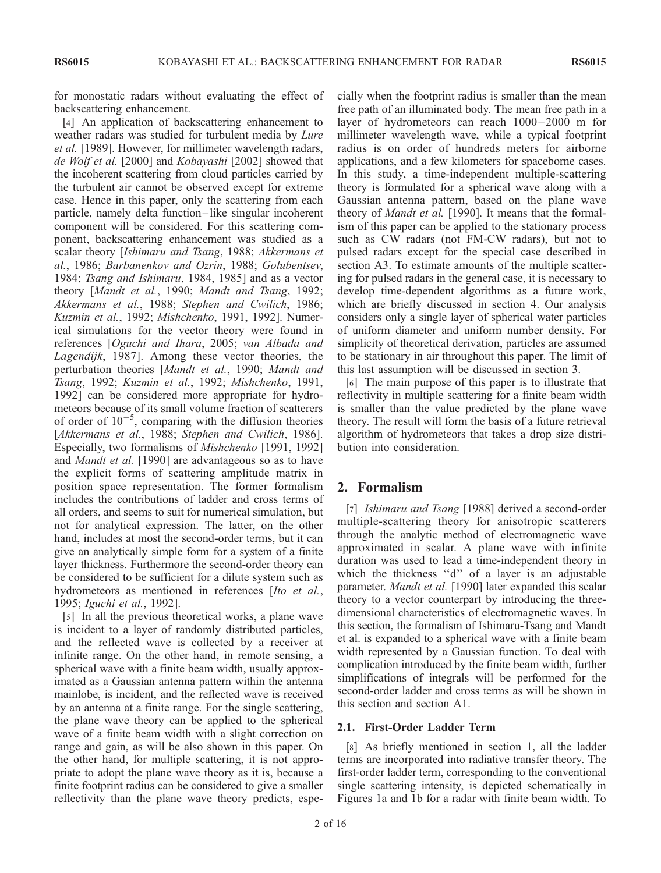for monostatic radars without evaluating the effect of backscattering enhancement.

[4] An application of backscattering enhancement to weather radars was studied for turbulent media by Lure et al. [1989]. However, for millimeter wavelength radars, de Wolf et al. [2000] and Kobayashi [2002] showed that the incoherent scattering from cloud particles carried by the turbulent air cannot be observed except for extreme case. Hence in this paper, only the scattering from each particle, namely delta function –like singular incoherent component will be considered. For this scattering component, backscattering enhancement was studied as a scalar theory [Ishimaru and Tsang, 1988; Akkermans et al., 1986; Barbanenkov and Ozrin, 1988; Golubentsev, 1984; Tsang and Ishimaru, 1984, 1985] and as a vector theory [Mandt et al., 1990; Mandt and Tsang, 1992; Akkermans et al., 1988; Stephen and Cwilich, 1986; Kuzmin et al., 1992; Mishchenko, 1991, 1992]. Numerical simulations for the vector theory were found in references [Oguchi and Ihara, 2005; van Albada and Lagendijk, 1987]. Among these vector theories, the perturbation theories [Mandt et al., 1990; Mandt and Tsang, 1992; Kuzmin et al., 1992; Mishchenko, 1991, 1992] can be considered more appropriate for hydrometeors because of its small volume fraction of scatterers of order of  $10^{-5}$ , comparing with the diffusion theories [Akkermans et al., 1988; Stephen and Cwilich, 1986]. Especially, two formalisms of Mishchenko [1991, 1992] and Mandt et al. [1990] are advantageous so as to have the explicit forms of scattering amplitude matrix in position space representation. The former formalism includes the contributions of ladder and cross terms of all orders, and seems to suit for numerical simulation, but not for analytical expression. The latter, on the other hand, includes at most the second-order terms, but it can give an analytically simple form for a system of a finite layer thickness. Furthermore the second-order theory can be considered to be sufficient for a dilute system such as hydrometeors as mentioned in references [Ito et al., 1995; Iguchi et al., 1992].

[5] In all the previous theoretical works, a plane wave is incident to a layer of randomly distributed particles, and the reflected wave is collected by a receiver at infinite range. On the other hand, in remote sensing, a spherical wave with a finite beam width, usually approximated as a Gaussian antenna pattern within the antenna mainlobe, is incident, and the reflected wave is received by an antenna at a finite range. For the single scattering, the plane wave theory can be applied to the spherical wave of a finite beam width with a slight correction on range and gain, as will be also shown in this paper. On the other hand, for multiple scattering, it is not appropriate to adopt the plane wave theory as it is, because a finite footprint radius can be considered to give a smaller reflectivity than the plane wave theory predicts, especially when the footprint radius is smaller than the mean free path of an illuminated body. The mean free path in a layer of hydrometeors can reach  $1000 - 2000$  m for millimeter wavelength wave, while a typical footprint radius is on order of hundreds meters for airborne applications, and a few kilometers for spaceborne cases. In this study, a time-independent multiple-scattering theory is formulated for a spherical wave along with a Gaussian antenna pattern, based on the plane wave theory of *Mandt et al.* [1990]. It means that the formalism of this paper can be applied to the stationary process such as CW radars (not FM-CW radars), but not to pulsed radars except for the special case described in section A3. To estimate amounts of the multiple scattering for pulsed radars in the general case, it is necessary to develop time-dependent algorithms as a future work, which are briefly discussed in section 4. Our analysis considers only a single layer of spherical water particles of uniform diameter and uniform number density. For simplicity of theoretical derivation, particles are assumed to be stationary in air throughout this paper. The limit of this last assumption will be discussed in section 3.

[6] The main purpose of this paper is to illustrate that reflectivity in multiple scattering for a finite beam width is smaller than the value predicted by the plane wave theory. The result will form the basis of a future retrieval algorithm of hydrometeors that takes a drop size distribution into consideration.

### 2. Formalism

[7] *Ishimaru and Tsang* [1988] derived a second-order multiple-scattering theory for anisotropic scatterers through the analytic method of electromagnetic wave approximated in scalar. A plane wave with infinite duration was used to lead a time-independent theory in which the thickness "d" of a layer is an adjustable parameter. Mandt et al. [1990] later expanded this scalar theory to a vector counterpart by introducing the threedimensional characteristics of electromagnetic waves. In this section, the formalism of Ishimaru-Tsang and Mandt et al. is expanded to a spherical wave with a finite beam width represented by a Gaussian function. To deal with complication introduced by the finite beam width, further simplifications of integrals will be performed for the second-order ladder and cross terms as will be shown in this section and section A1.

#### 2.1. First-Order Ladder Term

[8] As briefly mentioned in section 1, all the ladder terms are incorporated into radiative transfer theory. The first-order ladder term, corresponding to the conventional single scattering intensity, is depicted schematically in Figures 1a and 1b for a radar with finite beam width. To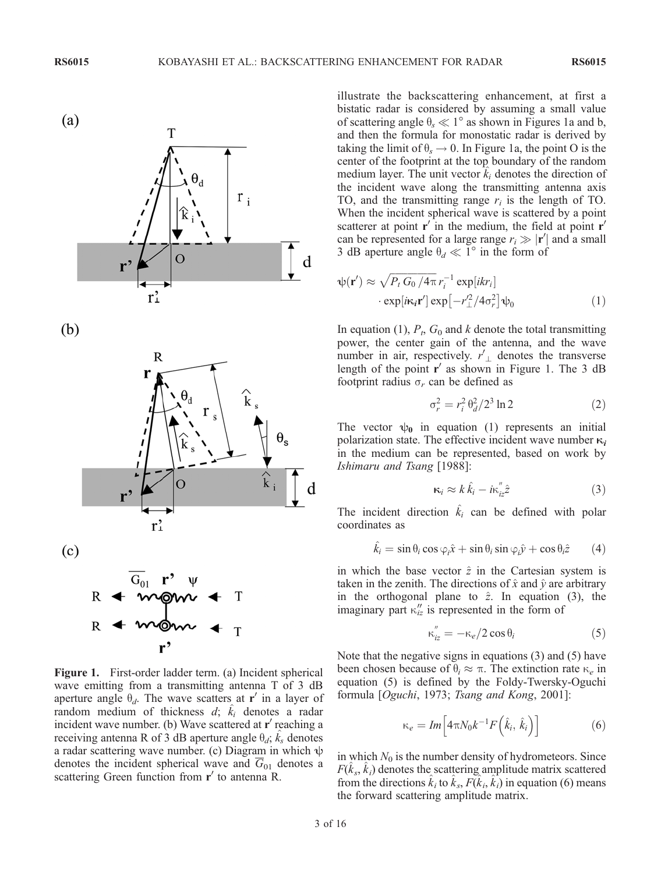

 $(b)$ 



 $(c)$ 



Figure 1. First-order ladder term. (a) Incident spherical wave emitting from a transmitting antenna T of 3 dB aperture angle  $\theta_d$ . The wave scatters at r' in a layer of random medium of thickness  $d; k_i$  denotes a radar incident wave number. (b) Wave scattered at r' reaching a receiving antenna R of 3 dB aperture angle  $\theta_d$ ;  $k_s$  denotes a radar scattering wave number. (c) Diagram in which  $\psi$ denotes the incident spherical wave and  $G_{01}$  denotes a scattering Green function from  $r'$  to antenna R.

illustrate the backscattering enhancement, at first a bistatic radar is considered by assuming a small value of scattering angle  $\theta_s \ll 1^\circ$  as shown in Figures 1a and b, and then the formula for monostatic radar is derived by taking the limit of  $\theta_s \rightarrow 0$ . In Figure 1a, the point O is the center of the footprint at the top boundary of the random medium layer. The unit vector  $k_i$  denotes the direction of the incident wave along the transmitting antenna axis TO, and the transmitting range  $r_i$  is the length of TO. When the incident spherical wave is scattered by a point scatterer at point  $r'$  in the medium, the field at point  $r'$ can be represented for a large range  $r_i \gg |\mathbf{r}'|$  and a small 3 dB aperture angle  $\theta_d \ll 1^\circ$  in the form of

$$
\psi(\mathbf{r}') \approx \sqrt{P_t G_0 / 4\pi} r_i^{-1} \exp[ikr_i]
$$

$$
\cdot \exp[i\kappa_i \mathbf{r}'] \exp[-r_{\perp}^2 / 4\sigma_r^2] \psi_0
$$
(1)

In equation (1),  $P_t$ ,  $G_0$  and k denote the total transmitting power, the center gain of the antenna, and the wave number in air, respectively.  $r'_{\perp}$  denotes the transverse length of the point  $\mathbf{r}'$  as shown in Figure 1. The 3 dB footprint radius  $\sigma_r$  can be defined as

$$
\sigma_r^2 = r_i^2 \theta_d^2 / 2^3 \ln 2 \tag{2}
$$

The vector  $\psi_0$  in equation (1) represents an initial polarization state. The effective incident wave number  $\kappa_i$ in the medium can be represented, based on work by Ishimaru and Tsang [1988]:

$$
\kappa_i \approx k \hat{k}_i - i \kappa_{iz}''^2 \qquad (3)
$$

The incident direction  $k_i$  can be defined with polar coordinates as

$$
\hat{k}_i = \sin \theta_i \cos \varphi_i \hat{x} + \sin \theta_i \sin \varphi_i \hat{y} + \cos \theta_i \hat{z} \qquad (4)
$$

in which the base vector  $\hat{z}$  in the Cartesian system is taken in the zenith. The directions of  $\hat{x}$  and  $\hat{y}$  are arbitrary in the orthogonal plane to  $\hat{z}$ . In equation (3), the imaginary part  $\kappa_{iz}''$  is represented in the form of

$$
\kappa_{iz}^{''} = -\kappa_e/2 \cos \theta_i \tag{5}
$$

Note that the negative signs in equations (3) and (5) have been chosen because of  $\theta_i \approx \pi$ . The extinction rate  $\kappa_e$  in equation (5) is defined by the Foldy-Twersky-Oguchi formula [Oguchi, 1973; Tsang and Kong, 2001]:

$$
\kappa_e = Im \left[ 4 \pi N_0 k^{-1} F\left(\hat{k}_i, \hat{k}_i\right) \right]
$$
 (6)

in which  $N_0$  is the number density of hydrometeors. Since  $F(k_s, k_i)$  denotes the scattering amplitude matrix scattered from the directions  $k_i$  to  $k_s$ ,  $F(k_i, k_i)$  in equation (6) means the forward scattering amplitude matrix.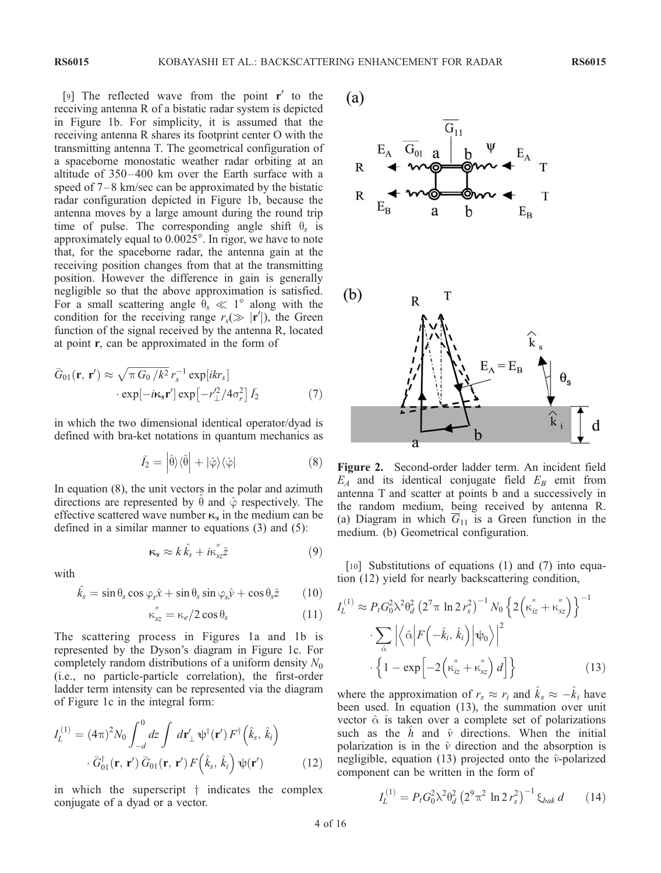[9] The reflected wave from the point  $r'$  to the receiving antenna R of a bistatic radar system is depicted in Figure 1b. For simplicity, it is assumed that the receiving antenna R shares its footprint center O with the transmitting antenna T. The geometrical configuration of a spaceborne monostatic weather radar orbiting at an altitude of 350– 400 km over the Earth surface with a speed of 7–8 km/sec can be approximated by the bistatic radar configuration depicted in Figure 1b, because the antenna moves by a large amount during the round trip time of pulse. The corresponding angle shift  $\theta_s$  is approximately equal to  $0.0025^{\circ}$ . In rigor, we have to note that, for the spaceborne radar, the antenna gain at the receiving position changes from that at the transmitting position. However the difference in gain is generally negligible so that the above approximation is satisfied. For a small scattering angle  $\theta_s \ll 1^\circ$  along with the condition for the receiving range  $r_s \gg |\mathbf{r}'|$ ), the Green function of the signal received by the antenna R, located at point r, can be approximated in the form of

$$
\bar{G}_{01}(\mathbf{r}, \mathbf{r}') \approx \sqrt{\pi G_0 / k^2} r_s^{-1} \exp[ikr_s] \cdot \exp[-i\kappa_s \mathbf{r}'] \exp[-r_\perp^2 / 4\sigma_r^2] \bar{I}_2
$$
\n(7)

in which the two dimensional identical operator/dyad is defined with bra-ket notations in quantum mechanics as

$$
\bar{I}_2 = \left| \hat{\theta} \rangle \langle \hat{\theta} \right| + \left| \hat{\phi} \rangle \langle \hat{\phi} \right| \tag{8}
$$

In equation (8), the unit vectors in the polar and azimuth directions are represented by  $\hat{\theta}$  and  $\hat{\varphi}$  respectively. The effective scattered wave number  $\kappa_s$  in the medium can be defined in a similar manner to equations (3) and (5):

$$
\kappa_s \approx k \hat{k}_s + i \kappa_{sz}'' \hat{z}
$$
 (9)

with

$$
\hat{k}_s = \sin \theta_s \cos \varphi_s \hat{x} + \sin \theta_s \sin \varphi_s \hat{y} + \cos \theta_s \hat{z} \qquad (10)
$$

$$
\kappa_{sz}^{''} = \kappa_e / 2 \cos \theta_s \tag{11}
$$

The scattering process in Figures 1a and 1b is represented by the Dyson's diagram in Figure 1c. For completely random distributions of a uniform density  $N_0$ (i.e., no particle-particle correlation), the first-order ladder term intensity can be represented via the diagram of Figure 1c in the integral form:

$$
I_L^{(1)} = (4\pi)^2 N_0 \int_{-d}^0 dz \int d\mathbf{r}'_\perp \psi^\dagger(\mathbf{r}') F^\dagger(\hat{k}_s, \hat{k}_i)
$$

$$
\cdot \vec{G}_{01}^\dagger(\mathbf{r}, \mathbf{r}') \vec{G}_{01}(\mathbf{r}, \mathbf{r}') F(\hat{k}_s, \hat{k}_i) \psi(\mathbf{r}')
$$
(12)

in which the superscript  $\dagger$  indicates the complex conjugate of a dyad or a vector.

 $(a)$ 



Figure 2. Second-order ladder term. An incident field  $E_A$  and its identical conjugate field  $E_B$  emit from antenna T and scatter at points b and a successively in the random medium, being received by antenna R. (a) Diagram in which  $\overline{G}_{11}$  is a Green function in the medium. (b) Geometrical configuration.

[10] Substitutions of equations (1) and (7) into equation (12) yield for nearly backscattering condition,

$$
I_L^{(1)} \approx P_t G_0^2 \lambda^2 \theta_d^2 (2^7 \pi \ln 2 r_s^2)^{-1} N_0 \left\{ 2 \left( \kappa_{iz}'' + \kappa_{sz}'' \right) \right\}^{-1}
$$

$$
\cdot \sum_{\hat{\alpha}} \left| \left\langle \hat{\alpha} \left| F \left( -\hat{k}_i, \hat{k}_i \right) \middle| \psi_0 \right\rangle \right|^2
$$

$$
\cdot \left\{ 1 - \exp \left[ -2 \left( \kappa_{iz}'' + \kappa_{sz}'' \right) d \right] \right\} \tag{13}
$$

where the approximation of  $r_s \approx r_i$  and  $k_s \approx -k_i$  have been used. In equation (13), the summation over unit vector  $\hat{\alpha}$  is taken over a complete set of polarizations such as the  $h$  and  $\hat{v}$  directions. When the initial polarization is in the  $\hat{v}$  direction and the absorption is negligible, equation (13) projected onto the  $\hat{v}$ -polarized component can be written in the form of

$$
I_L^{(1)} = P_t G_0^2 \lambda^2 \theta_d^2 \left( 2^9 \pi^2 \ln 2 r_s^2 \right)^{-1} \xi_{bak} d \qquad (14)
$$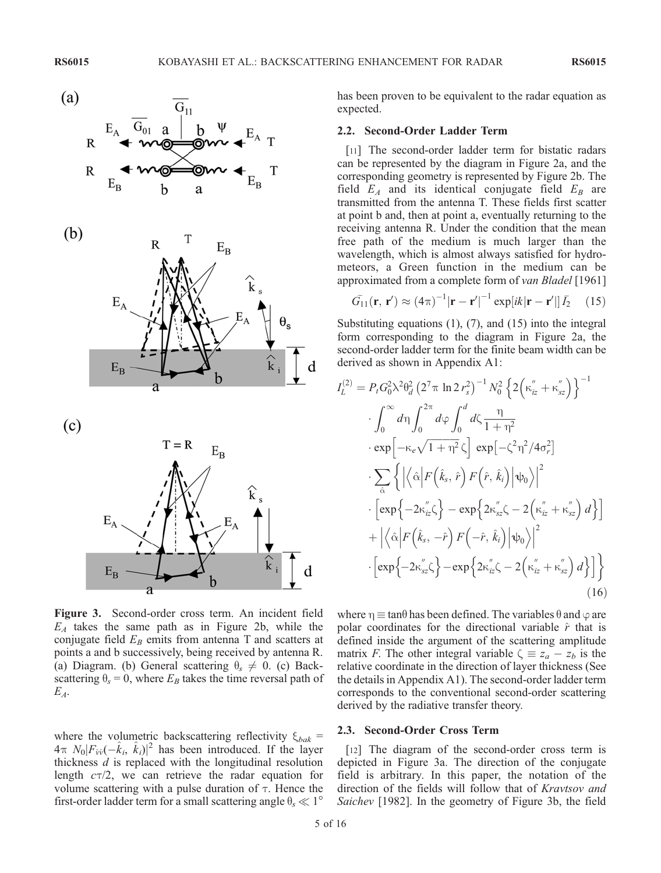



Figure 3. Second-order cross term. An incident field  $E_A$  takes the same path as in Figure 2b, while the conjugate field  $E_B$  emits from antenna T and scatters at points a and b successively, being received by antenna R. (a) Diagram. (b) General scattering  $\theta_s \neq 0$ . (c) Backscattering  $\theta_s = 0$ , where  $E_B$  takes the time reversal path of  $E_A$ .

where the volumetric backscattering reflectivity  $\xi_{bak}$  =  $4\pi N_0|F_{\hat{v}\hat{v}}(-\hat{k}_i, \hat{k}_i)|^2$  has been introduced. If the layer thickness  $d$  is replaced with the longitudinal resolution length  $c\tau/2$ , we can retrieve the radar equation for volume scattering with a pulse duration of  $\tau$ . Hence the first-order ladder term for a small scattering angle  $\theta_s \ll 1^\circ$ 

has been proven to be equivalent to the radar equation as expected.

#### 2.2. Second-Order Ladder Term

[11] The second-order ladder term for bistatic radars can be represented by the diagram in Figure 2a, and the corresponding geometry is represented by Figure 2b. The field  $E_A$  and its identical conjugate field  $E_B$  are transmitted from the antenna T. These fields first scatter at point b and, then at point a, eventually returning to the receiving antenna R. Under the condition that the mean free path of the medium is much larger than the wavelength, which is almost always satisfied for hydrometeors, a Green function in the medium can be approximated from a complete form of van Bladel [1961]

$$
\bar{G}_{11}(\mathbf{r}, \mathbf{r}') \approx (4\pi)^{-1} |\mathbf{r} - \mathbf{r}'|^{-1} \exp[i k |\mathbf{r} - \mathbf{r}'|] \bar{I}_2 \quad (15)
$$

Substituting equations (1), (7), and (15) into the integral form corresponding to the diagram in Figure 2a, the second-order ladder term for the finite beam width can be derived as shown in Appendix A1:

$$
I_L^{(2)} = P_t G_0^2 \lambda^2 \theta_d^2 (2^7 \pi \ln 2 r_s^2)^{-1} N_0^2 \left\{ 2 \left( \kappa_{iz}'' + \kappa_{sz}'' \right) \right\}^{-1}
$$
  

$$
\cdot \int_0^\infty d\eta \int_0^{2\pi} d\phi \int_0^d d\zeta \frac{\eta}{1 + \eta^2}
$$
  

$$
\cdot \exp \left[ -\kappa_e \sqrt{1 + \eta^2} \zeta \right] \exp \left[ -\zeta^2 \eta^2 / 4\sigma_r^2 \right]
$$
  

$$
\cdot \sum_{\hat{\alpha}} \left\{ \left| \left\langle \hat{\alpha} \right| F(\hat{k}_s, \hat{r}) F(\hat{r}, \hat{k}_i) \right| \psi_0 \right\rangle \right\}^2
$$
  

$$
\cdot \left[ \exp \left\{ -2\kappa_{iz}'' \zeta \right\} - \exp \left\{ 2\kappa_{sz}'' \zeta - 2 \left( \kappa_{iz}'' + \kappa_{sz}'' \right) d \right\} \right]
$$
  

$$
+ \left| \left\langle \hat{\alpha} \right| F(\hat{k}_s, -\hat{r}) F(-\hat{r}, \hat{k}_i) \right| \psi_0 \right\rangle \right|^2
$$
  

$$
\cdot \left[ \exp \left\{ -2\kappa_{sz}'' \zeta \right\} - \exp \left\{ 2\kappa_{iz}'' \zeta - 2 \left( \kappa_{iz}'' + \kappa_{sz}'' \right) d \right\} \right]
$$
  
(16)

where  $\eta \equiv \tan\theta$  has been defined. The variables  $\theta$  and  $\varphi$  are polar coordinates for the directional variable  $\hat{r}$  that is defined inside the argument of the scattering amplitude matrix F. The other integral variable  $\zeta \equiv z_a - z_b$  is the relative coordinate in the direction of layer thickness (See the details in Appendix A1). The second-order ladder term corresponds to the conventional second-order scattering derived by the radiative transfer theory.

#### 2.3. Second-Order Cross Term

[12] The diagram of the second-order cross term is depicted in Figure 3a. The direction of the conjugate field is arbitrary. In this paper, the notation of the direction of the fields will follow that of Kravtsov and Saichev [1982]. In the geometry of Figure 3b, the field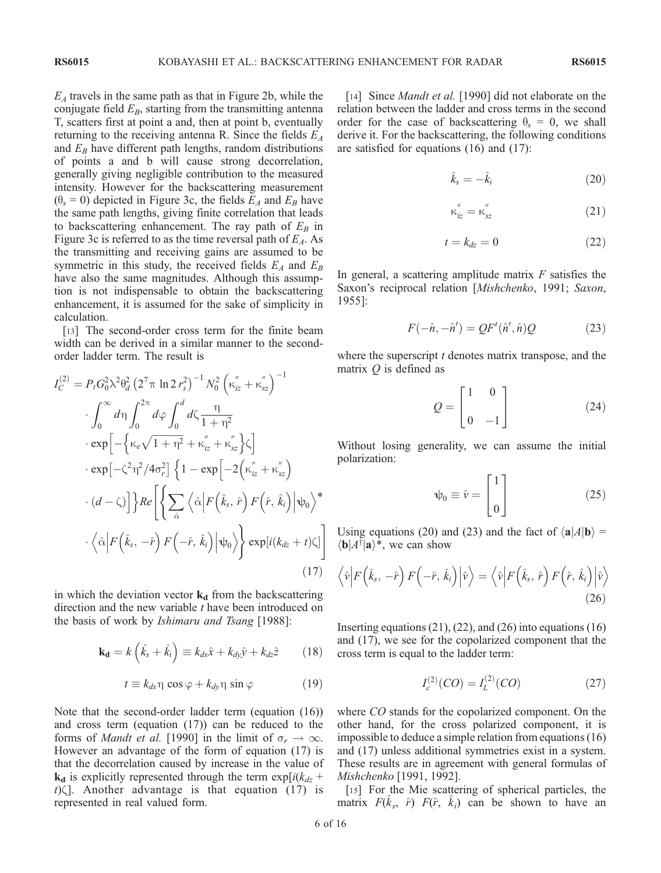$E_A$  travels in the same path as that in Figure 2b, while the conjugate field  $E_B$ , starting from the transmitting antenna T, scatters first at point a and, then at point b, eventually returning to the receiving antenna R. Since the fields  $E_A$ and  $E_B$  have different path lengths, random distributions of points a and b will cause strong decorrelation, generally giving negligible contribution to the measured intensity. However for the backscattering measurement  $(\theta_s = 0)$  depicted in Figure 3c, the fields  $E_A$  and  $E_B$  have the same path lengths, giving finite correlation that leads to backscattering enhancement. The ray path of  $E_B$  in Figure 3c is referred to as the time reversal path of  $E<sub>A</sub>$ . As the transmitting and receiving gains are assumed to be symmetric in this study, the received fields  $E_A$  and  $E_B$ have also the same magnitudes. Although this assumption is not indispensable to obtain the backscattering enhancement, it is assumed for the sake of simplicity in calculation.

[13] The second-order cross term for the finite beam width can be derived in a similar manner to the secondorder ladder term. The result is

$$
I_C^{(2)} = P_t G_0^2 \lambda^2 \theta_d^2 (2^7 \pi \ln 2 r_s^2)^{-1} N_0^2 (\kappa_{iz}^{\prime\prime} + \kappa_{sz}^{\prime\prime})^{-1}
$$
  

$$
\cdot \int_0^\infty d\eta \int_0^{2\pi} d\phi \int_0^d d\zeta \frac{\eta}{1 + \eta^2}
$$
  

$$
\cdot \exp \left[ -\left\{ \kappa_e \sqrt{1 + \eta^2} + \kappa_{iz}^{\prime\prime} + \kappa_{sz}^{\prime\prime} \right\} \zeta \right]
$$
  

$$
\cdot \exp \left[ -\zeta^2 \eta^2 / 4\sigma_r^2 \right] \left\{ 1 - \exp \left[ -2 \left( \kappa_{iz}^{\prime\prime} + \kappa_{sz}^{\prime\prime} \right) \right.
$$
  

$$
\cdot (d - \zeta) \right] \right\} Re \left[ \left\{ \sum_{\hat{\alpha}} \left\langle \hat{\alpha} \right| F(\hat{k}_s, \hat{r}) F(\hat{r}, \hat{k}_i) \right| \psi_0 \right\}^*
$$
  

$$
\cdot \left\langle \hat{\alpha} \right| F(\hat{k}_s, -\hat{r}) F(-\hat{r}, \hat{k}_i) \left| \psi_0 \right\rangle \right\} \exp[i(k_{dz} + t)\zeta]
$$
  
(17)

in which the deviation vector  $k_d$  from the backscattering direction and the new variable  $t$  have been introduced on the basis of work by Ishimaru and Tsang [1988]:

$$
\mathbf{k_d} = k \left( \hat{k}_s + \hat{k}_i \right) \equiv k_{dx} \hat{x} + k_{dy} \hat{y} + k_{dz} \hat{z} \tag{18}
$$

$$
t \equiv k_{dx} \eta \cos \varphi + k_{dy} \eta \sin \varphi \tag{19}
$$

Note that the second-order ladder term (equation (16)) and cross term (equation (17)) can be reduced to the forms of *Mandt et al.* [1990] in the limit of  $\sigma_r \to \infty$ . However an advantage of the form of equation (17) is that the decorrelation caused by increase in the value of  $k_d$  is explicitly represented through the term  $\exp[i(k_{dz} +$  $t)$  $\zeta$ ]. Another advantage is that equation (17) is represented in real valued form.

[14] Since *Mandt et al.* [1990] did not elaborate on the relation between the ladder and cross terms in the second order for the case of backscattering  $\theta_s = 0$ , we shall derive it. For the backscattering, the following conditions are satisfied for equations (16) and (17):

$$
\hat{k}_s = -\hat{k}_i \tag{20}
$$

$$
\kappa_{iz}^{''} = \kappa_{sz}^{''} \tag{21}
$$

$$
t = k_{dz} = 0 \tag{22}
$$

In general, a scattering amplitude matrix  $F$  satisfies the Saxon's reciprocal relation [Mishchenko, 1991; Saxon, 1955]:

$$
F(-\hat{n}, -\hat{n}') = QF^t(\hat{n}', \hat{n})Q \tag{23}
$$

where the superscript  $t$  denotes matrix transpose, and the matrix  $Q$  is defined as

$$
Q = \begin{bmatrix} 1 & 0 \\ 0 & -1 \end{bmatrix} \tag{24}
$$

Without losing generality, we can assume the initial polarization:

$$
\psi_0 \equiv \hat{\nu} = \begin{bmatrix} 1 \\ 0 \end{bmatrix} \tag{25}
$$

Using equations (20) and (23) and the fact of  $\langle \mathbf{a} | A | \mathbf{b} \rangle =$  $\langle \mathbf{b} | A^{\dagger} | \mathbf{a} \rangle^*$ , we can show

$$
\left\langle \hat{v} \middle| F\left(\hat{k}_s, -\hat{r}\right) F\left(-\hat{r}, \hat{k}_i\right) \middle| \hat{v} \right\rangle = \left\langle \hat{v} \middle| F\left(\hat{k}_s, \hat{r}\right) F\left(\hat{r}, \hat{k}_i\right) \middle| \hat{v} \right\rangle
$$
\n(26)

Inserting equations  $(21)$ ,  $(22)$ , and  $(26)$  into equations  $(16)$ and (17), we see for the copolarized component that the cross term is equal to the ladder term:

$$
I_c^{(2)}(CO) = I_L^{(2)}(CO)
$$
 (27)

where CO stands for the copolarized component. On the other hand, for the cross polarized component, it is impossible to deduce a simple relation from equations (16) and (17) unless additional symmetries exist in a system. These results are in agreement with general formulas of Mishchenko [1991, 1992].

[15] For the Mie scattering of spherical particles, the matrix  $F(k_s, \hat{r})$   $F(\hat{r}, k_i)$  can be shown to have an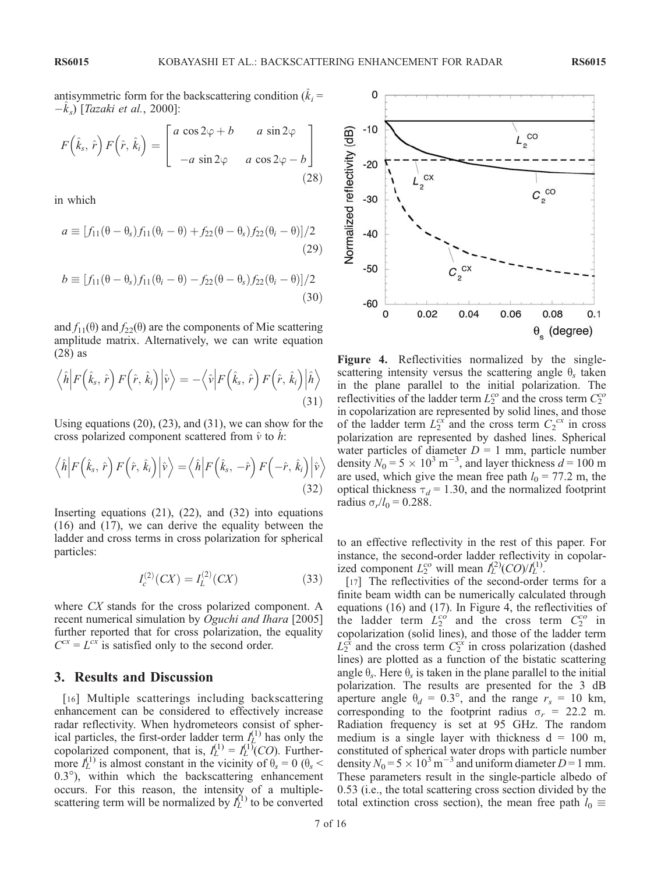antisymmetric form for the backscattering condition  $(k<sub>i</sub> =$  $-k<sub>s</sub>$ ) [Tazaki et al., 2000]:

$$
F(\hat{k}_s, \hat{r}) F(\hat{r}, \hat{k}_i) = \begin{bmatrix} a \cos 2\varphi + b & a \sin 2\varphi \\ -a \sin 2\varphi & a \cos 2\varphi - b \end{bmatrix}
$$
(28)

in which

$$
a \equiv [f_{11}(\theta - \theta_s)f_{11}(\theta_i - \theta) + f_{22}(\theta - \theta_s)f_{22}(\theta_i - \theta)]/2
$$
\n(29)

$$
b \equiv [f_{11}(\theta - \theta_s)f_{11}(\theta_i - \theta) - f_{22}(\theta - \theta_s)f_{22}(\theta_i - \theta)]/2
$$
\n(30)

and  $f_{11}(\theta)$  and  $f_{22}(\theta)$  are the components of Mie scattering amplitude matrix. Alternatively, we can write equation (28) as

$$
\left\langle \hat{h} \middle| F(\hat{k}_s, \hat{r}) F(\hat{r}, \hat{k}_i) \middle| \hat{v} \right\rangle = -\left\langle \hat{v} \middle| F(\hat{k}_s, \hat{r}) F(\hat{r}, \hat{k}_i) \middle| \hat{h} \right\rangle
$$
\n(31)

Using equations (20), (23), and (31), we can show for the cross polarized component scattered from  $\hat{v}$  to  $h$ :

$$
\left\langle \hat{h} \middle| F\left(\hat{k}_s, \hat{r}\right) F\left(\hat{r}, \hat{k}_i\right) \middle| \hat{v} \right\rangle = \left\langle \hat{h} \middle| F\left(\hat{k}_s, -\hat{r}\right) F\left(-\hat{r}, \hat{k}_i\right) \middle| \hat{v} \right\rangle
$$
\n(32)

Inserting equations  $(21)$ ,  $(22)$ , and  $(32)$  into equations (16) and (17), we can derive the equality between the ladder and cross terms in cross polarization for spherical particles:

$$
I_c^{(2)}(CX) = I_L^{(2)}(CX)
$$
\n(33)

where *CX* stands for the cross polarized component. A recent numerical simulation by Oguchi and Ihara [2005] further reported that for cross polarization, the equality  $C^{cx} = L^{cx}$  is satisfied only to the second order.

#### 3. Results and Discussion

[16] Multiple scatterings including backscattering enhancement can be considered to effectively increase radar reflectivity. When hydrometeors consist of spherical particles, the first-order ladder term  $I_L^{(1)}$  has only the copolarized component, that is,  $I_L^{(1)} = I_L^{(1)}(CO)$ . Furthermore  $I_L^{(1)}$  is almost constant in the vicinity of  $\theta_s = 0$  ( $\theta_s$  < 0.3°), within which the backscattering enhancement occurs. For this reason, the intensity of a multiplescattering term will be normalized by  $I_L^{(1)}$  to be converted



Figure 4. Reflectivities normalized by the singlescattering intensity versus the scattering angle  $\theta$ , taken in the plane parallel to the initial polarization. The reflectivities of the ladder term  $L_2^{co}$  and the cross term  $C_2^{co}$ in copolarization are represented by solid lines, and those of the ladder term  $L_2^{cx}$  and the cross term  $C_2^{cx}$  in cross polarization are represented by dashed lines. Spherical water particles of diameter  $D = 1$  mm, particle number density  $N_0 = 5 \times 10^3 \text{ m}^{-3}$ , and layer thickness  $d = 100 \text{ m}$ are used, which give the mean free path  $l_0 = 77.2$  m, the optical thickness  $\tau_d = 1.30$ , and the normalized footprint radius  $\sigma_r/l_0 = 0.288$ .

to an effective reflectivity in the rest of this paper. For instance, the second-order ladder reflectivity in copolarized component  $L_2^{co}$  will mean  $I_L^{(2)}(CO)/I_L^{(1)}$ .

[17] The reflectivities of the second-order terms for a finite beam width can be numerically calculated through equations (16) and (17). In Figure 4, the reflectivities of the ladder term  $L_2^{co}$  and the cross term  $C_2^{co}$  in copolarization (solid lines), and those of the ladder term  $L_2^{c\dot{x}}$  and the cross term  $C_2^{c\dot{x}}$  in cross polarization (dashed lines) are plotted as a function of the bistatic scattering angle  $\theta_s$ . Here  $\theta_s$  is taken in the plane parallel to the initial polarization. The results are presented for the 3 dB aperture angle  $\theta_d = 0.3^\circ$ , and the range  $r_s = 10 \text{ km}$ , corresponding to the footprint radius  $\sigma_r = 22.2$  m. Radiation frequency is set at 95 GHz. The random medium is a single layer with thickness  $d = 100$  m, constituted of spherical water drops with particle number density  $N_0 = 5 \times 10^3 \text{ m}^{-3}$  and uniform diameter  $D = 1 \text{ mm}$ . These parameters result in the single-particle albedo of 0.53 (i.e., the total scattering cross section divided by the total extinction cross section), the mean free path  $l_0 \equiv$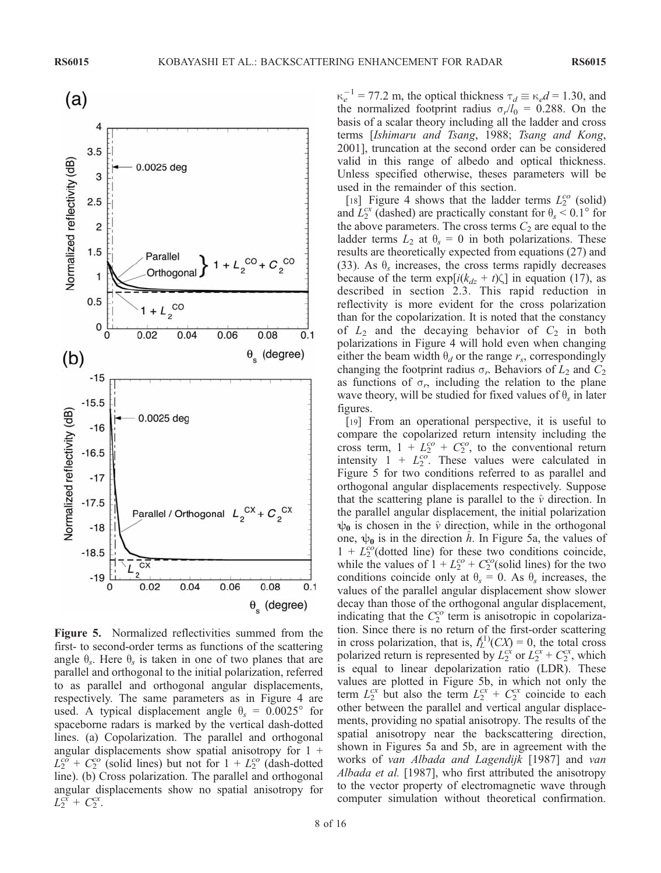

Figure 5. Normalized reflectivities summed from the first- to second-order terms as functions of the scattering angle  $\theta_s$ . Here  $\theta_s$  is taken in one of two planes that are parallel and orthogonal to the initial polarization, referred to as parallel and orthogonal angular displacements, respectively. The same parameters as in Figure 4 are used. A typical displacement angle  $\theta_s = 0.0025^\circ$  for spaceborne radars is marked by the vertical dash-dotted lines. (a) Copolarization. The parallel and orthogonal angular displacements show spatial anisotropy for  $1 +$  $L_2^{co}$  +  $C_2^{co}$  (solid lines) but not for  $1 + L_2^{co}$  (dash-dotted line). (b) Cross polarization. The parallel and orthogonal angular displacements show no spatial anisotropy for  $L_2^{c\bar{x}} + C_2^{c\bar{x}}$ .

 $\kappa_e^{-1}$  = 77.2 m, the optical thickness  $\tau_d \equiv \kappa_e d = 1.30$ , and the normalized footprint radius  $\sigma_r/l_0 = 0.288$ . On the basis of a scalar theory including all the ladder and cross terms [Ishimaru and Tsang, 1988; Tsang and Kong, 2001], truncation at the second order can be considered valid in this range of albedo and optical thickness. Unless specified otherwise, theses parameters will be used in the remainder of this section.

[18] Figure 4 shows that the ladder terms  $L_2^{co}$  (solid) and  $\dot{L}_2^{cx}$  (dashed) are practically constant for  $\theta_s < 0.1^\circ$  for the above parameters. The cross terms  $C_2$  are equal to the ladder terms  $L_2$  at  $\theta_s = 0$  in both polarizations. These results are theoretically expected from equations (27) and (33). As  $\theta_s$  increases, the cross terms rapidly decreases because of the term  $\exp[i(k_{dz} + t)\zeta]$  in equation (17), as described in section 2.3. This rapid reduction in reflectivity is more evident for the cross polarization than for the copolarization. It is noted that the constancy of  $L_2$  and the decaying behavior of  $C_2$  in both polarizations in Figure 4 will hold even when changing either the beam width  $\theta_d$  or the range  $r_s$ , correspondingly changing the footprint radius  $\sigma_r$ . Behaviors of  $L_2$  and  $C_2$ as functions of  $\sigma_r$ , including the relation to the plane wave theory, will be studied for fixed values of  $\theta_s$  in later figures.

[19] From an operational perspective, it is useful to compare the copolarized return intensity including the cross term,  $1 + L_2^{co} + C_2^{co}$ , to the conventional return intensity  $1 + L_2^{\infty}$ . These values were calculated in Figure 5 for two conditions referred to as parallel and orthogonal angular displacements respectively. Suppose that the scattering plane is parallel to the  $\hat{v}$  direction. In the parallel angular displacement, the initial polarization  $\psi_0$  is chosen in the  $\hat{v}$  direction, while in the orthogonal one,  $\psi_0$  is in the direction *h*. In Figure 5a, the values of  $1 + L_2^{co}$ (dotted line) for these two conditions coincide, while the values of  $1 + L_2^{co} + C_2^{co}$  (solid lines) for the two conditions coincide only at  $\theta_s = 0$ . As  $\theta_s$  increases, the values of the parallel angular displacement show slower decay than those of the orthogonal angular displacement, indicating that the  $C_2^{\text{co}}$  term is anisotropic in copolarization. Since there is no return of the first-order scattering in cross polarization, that is,  $I_L^{(1)}(CX) = 0$ , the total cross polarized return is represented by  $L_2^{cx}$  or  $L_2^{cx}$  +  $C_2^{cx}$ , which is equal to linear depolarization ratio (LDR). These values are plotted in Figure 5b, in which not only the term  $L_2^{cx}$  but also the term  $L_2^{cx}$  +  $C_2^{cx}$  coincide to each other between the parallel and vertical angular displacements, providing no spatial anisotropy. The results of the spatial anisotropy near the backscattering direction, shown in Figures 5a and 5b, are in agreement with the works of van Albada and Lagendijk [1987] and van Albada et al. [1987], who first attributed the anisotropy to the vector property of electromagnetic wave through computer simulation without theoretical confirmation.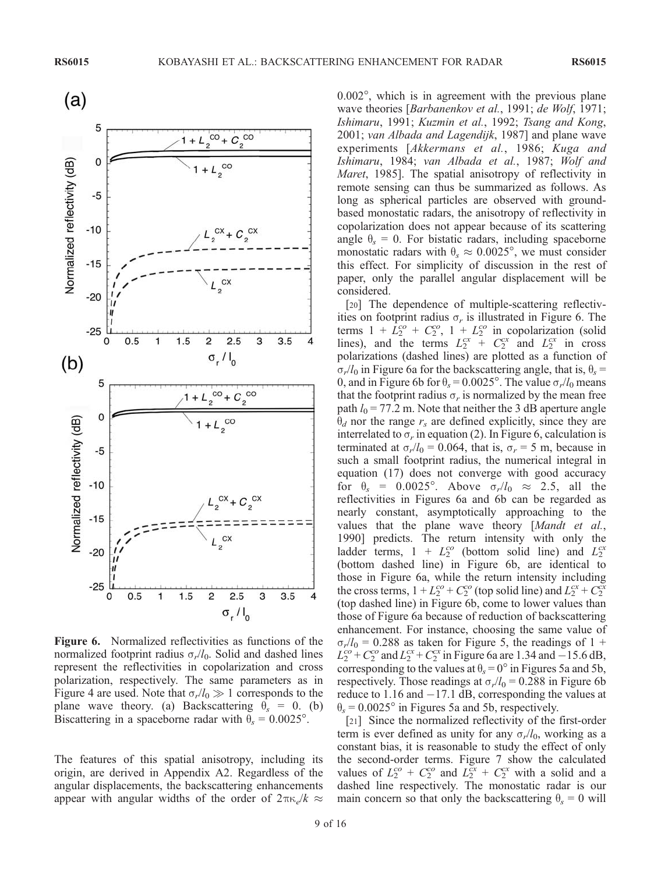

Figure 6. Normalized reflectivities as functions of the normalized footprint radius  $\sigma_r/l_0$ . Solid and dashed lines represent the reflectivities in copolarization and cross polarization, respectively. The same parameters as in Figure 4 are used. Note that  $\sigma_{r}/l_0 \gg 1$  corresponds to the plane wave theory. (a) Backscattering  $\theta_s = 0$ . (b) Biscattering in a spaceborne radar with  $\theta_s = 0.0025^\circ$ .

The features of this spatial anisotropy, including its origin, are derived in Appendix A2. Regardless of the angular displacements, the backscattering enhancements appear with angular widths of the order of  $2\pi\kappa_e/k \approx$ 

0.002°, which is in agreement with the previous plane wave theories [Barbanenkov et al., 1991; de Wolf, 1971; Ishimaru, 1991; Kuzmin et al., 1992; Tsang and Kong, 2001; van Albada and Lagendijk, 1987] and plane wave experiments [Akkermans et al., 1986; Kuga and Ishimaru, 1984; van Albada et al., 1987; Wolf and Maret, 1985]. The spatial anisotropy of reflectivity in remote sensing can thus be summarized as follows. As long as spherical particles are observed with groundbased monostatic radars, the anisotropy of reflectivity in copolarization does not appear because of its scattering angle  $\theta_s = 0$ . For bistatic radars, including spaceborne monostatic radars with  $\theta_s \approx 0.0025^\circ$ , we must consider this effect. For simplicity of discussion in the rest of paper, only the parallel angular displacement will be considered.

[20] The dependence of multiple-scattering reflectivities on footprint radius  $\sigma_r$  is illustrated in Figure 6. The terms  $1 + \dot{L}_2^{co} + C_2^{co}$ ,  $1 + L_2^{co}$  in copolarization (solid lines), and the terms  $L_2^{cx} + C_2^{cx}$  and  $L_2^{cx}$  in cross polarizations (dashed lines) are plotted as a function of  $\sigma_r/l_0$  in Figure 6a for the backscattering angle, that is,  $\theta_s =$ 0, and in Figure 6b for  $\theta_s = 0.0025^\circ$ . The value  $\sigma_r/l_0$  means that the footprint radius  $\sigma_r$  is normalized by the mean free path  $l_0$  = 77.2 m. Note that neither the 3 dB aperture angle  $\theta_d$  nor the range  $r_s$  are defined explicitly, since they are interrelated to  $\sigma_r$  in equation (2). In Figure 6, calculation is terminated at  $\sigma_r/l_0 = 0.064$ , that is,  $\sigma_r = 5$  m, because in such a small footprint radius, the numerical integral in equation (17) does not converge with good accuracy for  $\theta_s = 0.0025^\circ$ . Above  $\sigma_r/l_0 \approx 2.5$ , all the reflectivities in Figures 6a and 6b can be regarded as nearly constant, asymptotically approaching to the values that the plane wave theory [*Mandt et al.*, 1990] predicts. The return intensity with only the ladder terms,  $1 + L_2^{co}$  (bottom solid line) and  $L_2^{ca}$ (bottom dashed line) in Figure 6b, are identical to those in Figure 6a, while the return intensity including the cross terms,  $1 + L_2^{co} + C_2^{co}$  (top solid line) and  $L_2^{cx} + C_2^{cx}$ (top dashed line) in Figure 6b, come to lower values than those of Figure 6a because of reduction of backscattering enhancement. For instance, choosing the same value of  $\sigma_r/l_0 = 0.288$  as taken for Figure 5, the readings of 1 +  $L_2^{co}$  +  $C_2^{co}$  and  $L_2^{cx}$  +  $C_2^{cx}$  in Figure 6a are 1.34 and -15.6 dB, corresponding to the values at  $\theta_s = 0^\circ$  in Figures 5a and 5b, respectively. Those readings at  $\sigma_r/l_0 = 0.288$  in Figure 6b reduce to 1.16 and  $-17.1$  dB, corresponding the values at  $\theta_s = 0.0025^\circ$  in Figures 5a and 5b, respectively.

[21] Since the normalized reflectivity of the first-order term is ever defined as unity for any  $\sigma_r/l_0$ , working as a constant bias, it is reasonable to study the effect of only the second-order terms. Figure 7 show the calculated values of  $L_2^{co}$  +  $C_2^{co}$  and  $L_2^{ex}$  +  $C_2^{ex}$  with a solid and a dashed line respectively. The monostatic radar is our main concern so that only the backscattering  $\theta_s = 0$  will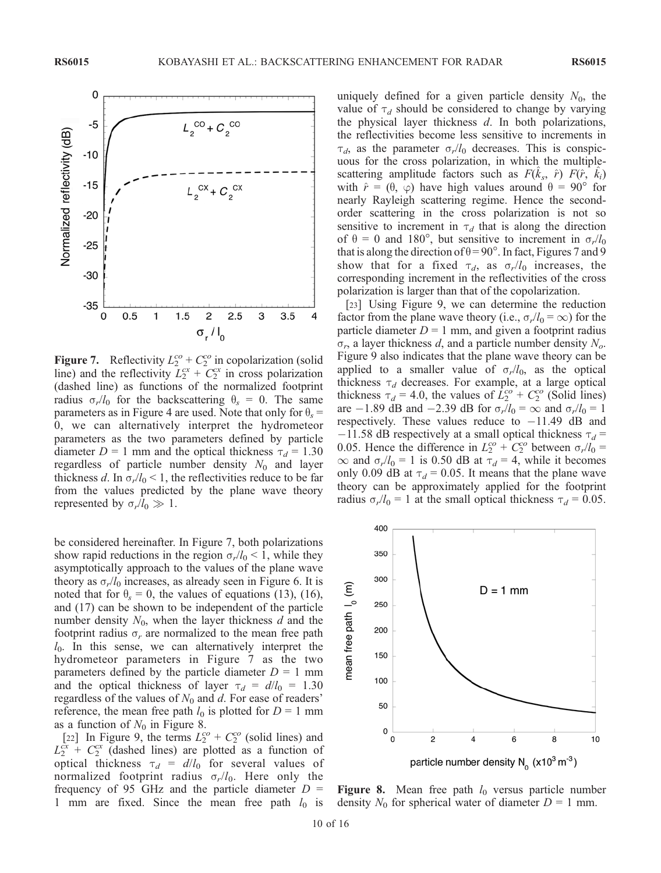

Figure 7. Reflectivity  $L_2^{co} + C_2^{co}$  in copolarization (solid line) and the reflectivity  $\overline{L_2^{cx}} + \overline{C_2^{cx}}$  in cross polarization (dashed line) as functions of the normalized footprint radius  $\sigma_r/l_0$  for the backscattering  $\theta_s = 0$ . The same parameters as in Figure 4 are used. Note that only for  $\theta_s$  = 0, we can alternatively interpret the hydrometeor parameters as the two parameters defined by particle diameter  $D = 1$  mm and the optical thickness  $\tau_d = 1.30$ regardless of particle number density  $N_0$  and layer thickness d. In  $\sigma_r/l_0$  < 1, the reflectivities reduce to be far from the values predicted by the plane wave theory represented by  $\sigma_r/l_0 \gg 1$ .

be considered hereinafter. In Figure 7, both polarizations show rapid reductions in the region  $\sigma_r/l_0$  < 1, while they asymptotically approach to the values of the plane wave theory as  $\sigma_r/l_0$  increases, as already seen in Figure 6. It is noted that for  $\theta_s = 0$ , the values of equations (13), (16), and (17) can be shown to be independent of the particle number density  $N_0$ , when the layer thickness  $d$  and the footprint radius  $\sigma_r$  are normalized to the mean free path  $l_0$ . In this sense, we can alternatively interpret the hydrometeor parameters in Figure 7 as the two parameters defined by the particle diameter  $D = 1$  mm and the optical thickness of layer  $\tau_d = d/l_0 = 1.30$ regardless of the values of  $N_0$  and d. For ease of readers' reference, the mean free path  $l_0$  is plotted for  $D = 1$  mm as a function of  $N_0$  in Figure 8.

[22] In Figure 9, the terms  $L_2^{co} + C_2^{co}$  (solid lines) and  $L_2^{cx}$  +  $C_2^{cx}$  (dashed lines) are plotted as a function of optical thickness  $\tau_d = d/l_0$  for several values of normalized footprint radius  $\sigma_r/l_0$ . Here only the frequency of 95 GHz and the particle diameter  $D =$ 1 mm are fixed. Since the mean free path  $l_0$  is uniquely defined for a given particle density  $N_0$ , the value of  $\tau_d$  should be considered to change by varying the physical layer thickness  $d$ . In both polarizations, the reflectivities become less sensitive to increments in  $\tau_d$ , as the parameter  $\sigma_r/l_0$  decreases. This is conspicuous for the cross polarization, in which the multiplescattering amplitude factors such as  $F(k<sub>s</sub>, \hat{r})$   $F(\hat{r}, k<sub>i</sub>)$ with  $\hat{r} = (\theta, \varphi)$  have high values around  $\theta = 90^{\circ}$  for nearly Rayleigh scattering regime. Hence the secondorder scattering in the cross polarization is not so sensitive to increment in  $\tau_d$  that is along the direction of  $\theta = 0$  and 180°, but sensitive to increment in  $\sigma_r/l_0$ that is along the direction of  $\theta = 90^\circ$ . In fact, Figures 7 and 9 show that for a fixed  $\tau_d$ , as  $\sigma_r/l_0$  increases, the corresponding increment in the reflectivities of the cross polarization is larger than that of the copolarization.

[23] Using Figure 9, we can determine the reduction factor from the plane wave theory (i.e.,  $\sigma_r/l_0 = \infty$ ) for the particle diameter  $D = 1$  mm, and given a footprint radius  $\sigma_r$ , a layer thickness d, and a particle number density  $N_o$ . Figure 9 also indicates that the plane wave theory can be applied to a smaller value of  $\sigma_r/l_0$ , as the optical thickness  $\tau_d$  decreases. For example, at a large optical thickness  $\tau_d = 4.0$ , the values of  $\dot{L}_2^{co} + C_2^{co}$  (Solid lines) are  $-1.89$  dB and  $-2.39$  dB for  $\sigma_r/l_0 = \infty$  and  $\sigma_r/l_0 = 1$ respectively. These values reduce to  $-11.49$  dB and  $-11.58$  dB respectively at a small optical thickness  $\tau_d$  = 0.05. Hence the difference in  $L_2^{co} + C_2^{co}$  between  $\sigma_r / l_0 =$  $\infty$  and  $\sigma_r/l_0 = 1$  is 0.50 dB at  $\tau_d = 4$ , while it becomes only 0.09 dB at  $\tau_d = 0.05$ . It means that the plane wave theory can be approximately applied for the footprint radius  $\sigma_r/l_0 = 1$  at the small optical thickness  $\tau_d = 0.05$ .



**Figure 8.** Mean free path  $l_0$  versus particle number density  $N_0$  for spherical water of diameter  $D = 1$  mm.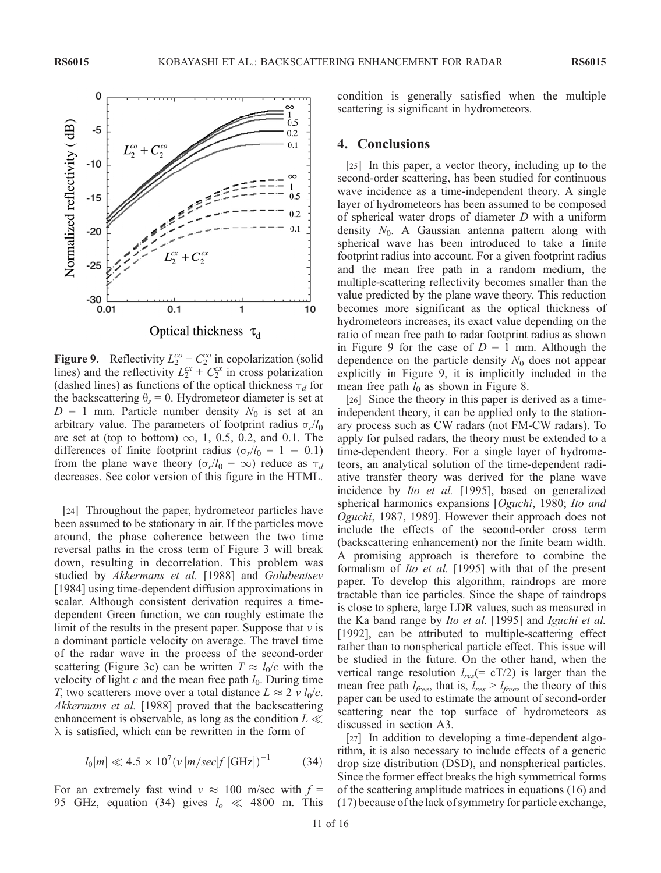

Figure 9. Reflectivity  $L_2^{co} + C_2^{co}$  in copolarization (solid lines) and the reflectivity  $L_2^{cx} + C_2^{cx}$  in cross polarization (dashed lines) as functions of the optical thickness  $\tau_d$  for the backscattering  $\theta_s = 0$ . Hydrometeor diameter is set at  $D = 1$  mm. Particle number density  $N_0$  is set at an arbitrary value. The parameters of footprint radius  $\sigma_r/l_0$ are set at (top to bottom)  $\infty$ , 1, 0.5, 0.2, and 0.1. The differences of finite footprint radius ( $\sigma_r/l_0 = 1 - 0.1$ ) from the plane wave theory ( $\sigma_r/l_0 = \infty$ ) reduce as  $\tau_d$ decreases. See color version of this figure in the HTML.

[24] Throughout the paper, hydrometeor particles have been assumed to be stationary in air. If the particles move around, the phase coherence between the two time reversal paths in the cross term of Figure 3 will break down, resulting in decorrelation. This problem was studied by Akkermans et al. [1988] and Golubentsev [1984] using time-dependent diffusion approximations in scalar. Although consistent derivation requires a timedependent Green function, we can roughly estimate the limit of the results in the present paper. Suppose that  $\nu$  is a dominant particle velocity on average. The travel time of the radar wave in the process of the second-order scattering (Figure 3c) can be written  $T \approx l_0/c$  with the velocity of light  $c$  and the mean free path  $l_0$ . During time T, two scatterers move over a total distance  $L \approx 2 v l_0/c$ . Akkermans et al. [1988] proved that the backscattering enhancement is observable, as long as the condition  $L \ll$  $\lambda$  is satisfied, which can be rewritten in the form of

$$
l_0[m] \ll 4.5 \times 10^7 \left( v \left[ m/sec \right] f \left[ \text{GHz} \right] \right)^{-1} \tag{34}
$$

For an extremely fast wind  $v \approx 100$  m/sec with  $f =$ 95 GHz, equation (34) gives  $l_o \ll 4800$  m. This

condition is generally satisfied when the multiple scattering is significant in hydrometeors.

#### 4. Conclusions

[25] In this paper, a vector theory, including up to the second-order scattering, has been studied for continuous wave incidence as a time-independent theory. A single layer of hydrometeors has been assumed to be composed of spherical water drops of diameter D with a uniform density  $N_0$ . A Gaussian antenna pattern along with spherical wave has been introduced to take a finite footprint radius into account. For a given footprint radius and the mean free path in a random medium, the multiple-scattering reflectivity becomes smaller than the value predicted by the plane wave theory. This reduction becomes more significant as the optical thickness of hydrometeors increases, its exact value depending on the ratio of mean free path to radar footprint radius as shown in Figure 9 for the case of  $D = 1$  mm. Although the dependence on the particle density  $N_0$  does not appear explicitly in Figure 9, it is implicitly included in the mean free path  $l_0$  as shown in Figure 8.

[26] Since the theory in this paper is derived as a timeindependent theory, it can be applied only to the stationary process such as CW radars (not FM-CW radars). To apply for pulsed radars, the theory must be extended to a time-dependent theory. For a single layer of hydrometeors, an analytical solution of the time-dependent radiative transfer theory was derived for the plane wave incidence by Ito et al. [1995], based on generalized spherical harmonics expansions [Oguchi, 1980; Ito and Oguchi, 1987, 1989]. However their approach does not include the effects of the second-order cross term (backscattering enhancement) nor the finite beam width. A promising approach is therefore to combine the formalism of Ito et al. [1995] with that of the present paper. To develop this algorithm, raindrops are more tractable than ice particles. Since the shape of raindrops is close to sphere, large LDR values, such as measured in the Ka band range by Ito et al. [1995] and Iguchi et al. [1992], can be attributed to multiple-scattering effect rather than to nonspherical particle effect. This issue will be studied in the future. On the other hand, when the vertical range resolution  $l_{res} (= cT/2)$  is larger than the mean free path  $l_{free}$ , that is,  $l_{res} > l_{free}$ , the theory of this paper can be used to estimate the amount of second-order scattering near the top surface of hydrometeors as discussed in section A3.

[27] In addition to developing a time-dependent algorithm, it is also necessary to include effects of a generic drop size distribution (DSD), and nonspherical particles. Since the former effect breaks the high symmetrical forms of the scattering amplitude matrices in equations (16) and (17) because of the lack of symmetry for particle exchange,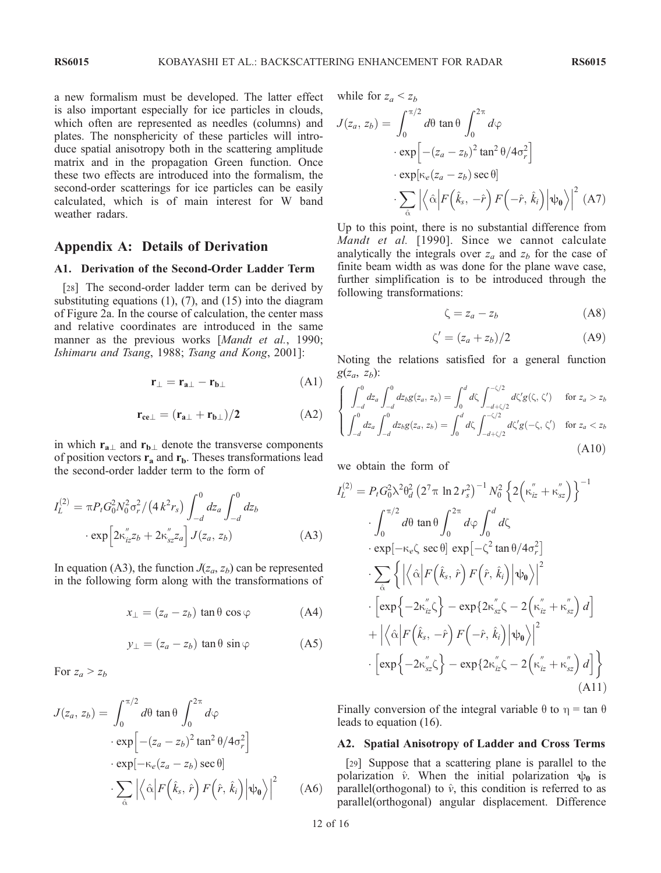a new formalism must be developed. The latter effect is also important especially for ice particles in clouds, which often are represented as needles (columns) and plates. The nonsphericity of these particles will introduce spatial anisotropy both in the scattering amplitude matrix and in the propagation Green function. Once these two effects are introduced into the formalism, the second-order scatterings for ice particles can be easily calculated, which is of main interest for W band weather radars.

#### Appendix A: Details of Derivation

#### A1. Derivation of the Second-Order Ladder Term

[28] The second-order ladder term can be derived by substituting equations  $(1)$ ,  $(7)$ , and  $(15)$  into the diagram of Figure 2a. In the course of calculation, the center mass and relative coordinates are introduced in the same manner as the previous works [*Mandt et al.*, 1990; Ishimaru and Tsang, 1988; Tsang and Kong, 2001]:

$$
\mathbf{r}_{\perp} = \mathbf{r}_{\mathbf{a}\perp} - \mathbf{r}_{\mathbf{b}\perp} \tag{A1}
$$

$$
r_{ce\perp} = (r_{a\perp} + r_{b\perp})/2 \qquad \qquad (A2)
$$

in which  $r_{a\perp}$  and  $r_{b\perp}$  denote the transverse components of position vectors  $r_a$  and  $r_b$ . Theses transformations lead the second-order ladder term to the form of

$$
I_L^{(2)} = \pi P_t G_0^2 N_0^2 \sigma_r^2 / (4 k^2 r_s) \int_{-d}^0 dz_a \int_{-d}^0 dz_b
$$
  
 
$$
\cdot \exp \left[ 2 \kappa_{iz}^{"} z_b + 2 \kappa_{sz}^{"} z_a \right] J(z_a, z_b)
$$
 (A3)

In equation (A3), the function  $J(z_a, z_b)$  can be represented in the following form along with the transformations of

$$
x_{\perp} = (z_a - z_b) \tan \theta \cos \varphi \tag{A4}
$$

$$
y_{\perp} = (z_a - z_b) \tan \theta \sin \varphi \tag{A5}
$$

For  $z_a > z_b$ 

$$
J(z_a, z_b) = \int_0^{\pi/2} d\theta \tan \theta \int_0^{2\pi} d\phi
$$

$$
\cdot \exp\left[ -(z_a - z_b)^2 \tan^2 \theta / 4\sigma_r^2 \right]
$$

$$
\cdot \exp[-\kappa_e(z_a - z_b) \sec \theta]
$$

$$
\cdot \sum_{\hat{\alpha}} \left| \left\langle \hat{\alpha} \middle| F(\hat{k}_s, \hat{r}) F(\hat{r}, \hat{k}_i) \middle| \psi_0 \right\rangle \right|^2 \qquad (A6)
$$

while for  $z_a < z_b$ 

$$
J(z_a, z_b) = \int_0^{\pi/2} d\theta \tan \theta \int_0^{2\pi} d\phi
$$

$$
\cdot \exp\left[ -(z_a - z_b)^2 \tan^2 \theta / 4\sigma_r^2 \right]
$$

$$
\cdot \exp[\kappa_e(z_a - z_b) \sec \theta]
$$

$$
\cdot \sum_{\hat{\alpha}} \left| \left\langle \hat{\alpha} \middle| F(\hat{k}_s, -\hat{r}) F(-\hat{r}, \hat{k}_i) \middle| \psi_0 \right\rangle \right|^2 (A7)
$$

Up to this point, there is no substantial difference from Mandt et al. [1990]. Since we cannot calculate analytically the integrals over  $z_a$  and  $z_b$  for the case of finite beam width as was done for the plane wave case, further simplification is to be introduced through the following transformations:

$$
\zeta = z_a - z_b \tag{A8}
$$

$$
\zeta' = (z_a + z_b)/2 \tag{A9}
$$

Noting the relations satisfied for a general function  $g(z_a, z_b)$ :

$$
\begin{cases}\n\int_{-d}^{0} dz_a \int_{-d}^{0} dz_b g(z_a, z_b) = \int_{0}^{d} d\zeta \int_{-d+\zeta/2}^{-\zeta/2} d\zeta' g(\zeta, \zeta') \quad \text{for } z_a > z_b \\
\int_{-d}^{0} dz_a \int_{-d}^{0} dz_b g(z_a, z_b) = \int_{0}^{d} d\zeta \int_{-d+\zeta/2}^{-\zeta/2} d\zeta' g(-\zeta, \zeta') \quad \text{for } z_a < z_b\n\end{cases}
$$
\n(A10)

we obtain the form of

$$
I_L^{(2)} = P_t G_0^2 \lambda^2 \theta_d^2 (2^7 \pi \ln 2 r_s^2)^{-1} N_0^2 \left\{ 2 \left( \kappa_{iz}'' + \kappa_{sz}'' \right) \right\}^{-1}
$$
  
\n
$$
\cdot \int_0^{\pi/2} d\theta \tan \theta \int_0^{2\pi} d\phi \int_0^d d\zeta
$$
  
\n
$$
\cdot \exp[-\kappa_e \zeta \sec \theta] \exp[-\zeta^2 \tan \theta / 4\sigma_r^2]
$$
  
\n
$$
\cdot \sum_{\hat{\alpha}} \left\{ \left| \left\langle \hat{\alpha} \middle| F(\hat{k}_s, \hat{r}) F(\hat{r}, \hat{k}_i) \middle| \psi_0 \right\rangle \right|^2
$$
  
\n
$$
\cdot \left[ \exp\left\{ -2\kappa_{iz}'' \zeta \right\} - \exp\left\{ 2\kappa_{sz}'' \zeta - 2 \left( \kappa_{iz}'' + \kappa_{sz}'' \right) d \right\} \right.
$$
  
\n
$$
+ \left| \left\langle \hat{\alpha} \middle| F(\hat{k}_s, -\hat{r}) F(-\hat{r}, \hat{k}_i) \middle| \psi_0 \right\rangle \right|^2
$$
  
\n
$$
\cdot \left[ \exp\left\{ -2\kappa_{sz}'' \zeta \right\} - \exp\left\{ 2\kappa_{iz}'' \zeta - 2 \left( \kappa_{iz}'' + \kappa_{sz}'' \right) d \right\} \right\}
$$
  
\n
$$
\cdot \left[ (A11) \right]
$$

Finally conversion of the integral variable  $\theta$  to  $\eta = \tan \theta$ leads to equation (16).

#### A2. Spatial Anisotropy of Ladder and Cross Terms

[29] Suppose that a scattering plane is parallel to the polarization  $\hat{v}$ . When the initial polarization  $\psi_0$  is parallel(orthogonal) to  $\hat{v}$ , this condition is referred to as parallel(orthogonal) angular displacement. Difference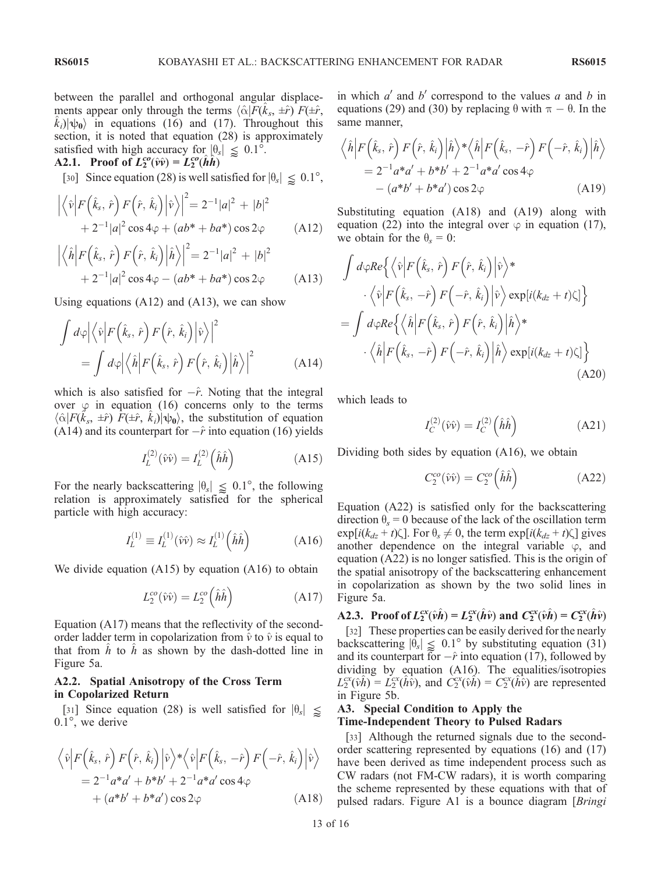between the parallel and orthogonal angular displacements appear only through the terms  $\langle \hat{\alpha} | F(k_s, \pm \hat{r}) F(\pm \hat{r}, \hat{k}_i)|\psi_0 \rangle$  in equations (16) and (17). Throughout this section, it is noted that equation (28) is approximately satisfied with high accuracy for  $|\theta_s| \leq 0.1^{\circ}$ .

A2.1. Proof of  $L_2^{co}(\hat{v}\hat{v}) = L_2^{co}(\hat{h}\hat{h})$ 

[30] Since equation (28) is well satisfied for  $|\theta_s| \leq 0.1^\circ$ ,

$$
\left| \left\langle \hat{v} \middle| F\left(\hat{k}_s, \hat{r}\right) F\left(\hat{r}, \hat{k}_i\right) \middle| \hat{v} \right\rangle \right|^2 = 2^{-1} |a|^2 + |b|^2
$$
  
+ 2<sup>-1</sup> |a|^2 \cos 4\varphi + (ab^\* + ba^\*) \cos 2\varphi \t(A12)

$$
\left| \left\langle \hat{h} \middle| F(\hat{k}_s, \hat{r}) F(\hat{r}, \hat{k}_i) \middle| \hat{h} \right\rangle \right|^2 = 2^{-1} |a|^2 + |b|^2 + 2^{-1} |a|^2 \cos 4\varphi - (ab^* + ba^*) \cos 2\varphi
$$
 (A13)

Using equations (A12) and (A13), we can show

$$
\int d\varphi \left| \left\langle \hat{v} \right| F(\hat{k}_s, \hat{r}) F(\hat{r}, \hat{k}_i) \left| \hat{v} \right\rangle \right|^2
$$
  
= 
$$
\int d\varphi \left| \left\langle \hat{h} \right| F(\hat{k}_s, \hat{r}) F(\hat{r}, \hat{k}_i) \left| \hat{h} \right\rangle \right|^2
$$
(A14)

which is also satisfied for  $-\hat{r}$ . Noting that the integral over  $\varphi$  in equation (16) concerns only to the terms  $\langle \hat{\alpha}|F(k_s, \pm \hat{r})$   $F(\pm \hat{r}, k_i)|\psi_0\rangle$ , the substitution of equation (A14) and its counterpart for  $-\hat{r}$  into equation (16) yields

$$
I_L^{(2)}(\hat{\nu}\hat{\nu}) = I_L^{(2)}(\hat{h}\hat{h})\tag{A15}
$$

For the nearly backscattering  $|\theta_s| \leq 0.1^\circ$ , the following relation is approximately satisfied for the spherical particle with high accuracy:

$$
I_L^{(1)} \equiv I_L^{(1)}(\hat{\nu}\hat{\nu}) \approx I_L^{(1)}(\hat{h}\hat{h})
$$
 (A16)

We divide equation (A15) by equation (A16) to obtain

$$
L_2^{co}(\hat{v}\hat{v}) = L_2^{co}(\hat{h}\hat{h})
$$
 (A17)

Equation (A17) means that the reflectivity of the secondorder ladder term in copolarization from  $\hat{v}$  to  $\hat{v}$  is equal to that from  $h$  to  $h$  as shown by the dash-dotted line in Figure 5a.

#### A2.2. Spatial Anisotropy of the Cross Term in Copolarized Return

[31] Since equation (28) is well satisfied for  $|\theta_s| \leq$  $0.1^{\circ}$ , we derive

$$
\langle \hat{v} | F(\hat{k}_s, \hat{r}) F(\hat{r}, \hat{k}_i) | \hat{v} \rangle^* \langle \hat{v} | F(\hat{k}_s, -\hat{r}) F(-\hat{r}, \hat{k}_i) | \hat{v} \rangle
$$
  
= 2<sup>-1</sup>*a*<sup>\*</sup>*a*' + *b*<sup>\*</sup>*b*' + 2<sup>-1</sup>*a*<sup>\*</sup>*a*' cos 4 $\varphi$   
+ (*a*<sup>\*</sup>*b*' + *b*<sup>\*</sup>*a*) cos 2 $\varphi$  (A18)

in which  $a'$  and  $b'$  correspond to the values a and b in equations (29) and (30) by replacing  $\theta$  with  $\pi - \theta$ . In the same manner,

$$
\langle \hat{h} \Big| F(\hat{k}_s, \hat{r}) F(\hat{r}, \hat{k}_i) \Big| \hat{h} \rangle^* \langle \hat{h} \Big| F(\hat{k}_s, -\hat{r}) F(-\hat{r}, \hat{k}_i) \Big| \hat{h} \rangle
$$
  
= 2<sup>-1</sup>*a*<sup>\*</sup>*a*' + *b*<sup>\*</sup>*b*' + 2<sup>-1</sup>*a*<sup>\*</sup>*a*' cos 4 $\varphi$   
– (*a*<sup>\*</sup>*b*' + *b*<sup>\*</sup>*a*) cos 2 $\varphi$  (A19)

Substituting equation (A18) and (A19) along with equation (22) into the integral over  $\varphi$  in equation (17), we obtain for the  $\theta_s = 0$ :

$$
\int d\varphi Re\left\{ \left\langle \hat{v} \middle| F\left(\hat{k}_s, \hat{r}\right) F\left(\hat{r}, \hat{k}_i\right) \middle| \hat{v} \right\rangle^* \right. \left. \left. \left\langle \hat{v} \middle| F\left(\hat{k}_s, -\hat{r}\right) F\left(-\hat{r}, \hat{k}_i\right) \middle| \hat{v} \right\rangle \exp[i(k_{dz} + t)\zeta] \right\} \right. \\
= \int d\varphi Re\left\{ \left\langle \hat{h} \middle| F\left(\hat{k}_s, \hat{r}\right) F\left(\hat{r}, \hat{k}_i\right) \middle| \hat{h} \right\rangle^* \right. \\
\left. \left. \left\langle \hat{h} \middle| F\left(\hat{k}_s, -\hat{r}\right) F\left(-\hat{r}, \hat{k}_i\right) \middle| \hat{h} \right\rangle \exp[i(k_{dz} + t)\zeta] \right\} \right\} \tag{A20}
$$

which leads to

$$
I_C^{(2)}(\hat{\nu}\hat{\nu}) = I_C^{(2)}(\hat{h}\hat{h})\tag{A21}
$$

Dividing both sides by equation (A16), we obtain

$$
C_2^{co}(\hat{\nu}\hat{\nu}) = C_2^{co}(\hat{h}\hat{h})
$$
 (A22)

Equation (A22) is satisfied only for the backscattering direction  $\theta_s = 0$  because of the lack of the oscillation term  $\exp[i(k_{dz} + t)\zeta]$ . For  $\theta_s \neq 0$ , the term  $\exp[i(k_{dz} + t)\zeta]$  gives another dependence on the integral variable  $\varphi$ , and equation (A22) is no longer satisfied. This is the origin of the spatial anisotropy of the backscattering enhancement in copolarization as shown by the two solid lines in Figure 5a.

# A2.3. Proof of  $L_2^{cx}(\hat{v}\hat{h}) = L_2^{cx}(\hat{h}\hat{v})$  and  $C_2^{cx}(\hat{v}\hat{h}) = C_2^{cx}(\hat{h}\hat{v})$

[32] These properties can be easily derived for the nearly backscattering  $|\hat{\theta}_{s}| \leq 0.1^{\circ}$  by substituting equation (31) and its counterpart for  $-\hat{r}$  into equation (17), followed by dividing by equation (A16). The equalities/isotropies  $L_2^{cx}(\hat{v}\hat{h}) = L_2^{cx}(\hat{h}\hat{v})$ , and  $\hat{C}_2^{cx}(\hat{v}\hat{h}) = C_2^{cx}(\hat{h}\hat{v})$  are represented in Figure 5b.

## A3. Special Condition to Apply the Time-Independent Theory to Pulsed Radars

[33] Although the returned signals due to the secondorder scattering represented by equations (16) and (17) have been derived as time independent process such as CW radars (not FM-CW radars), it is worth comparing the scheme represented by these equations with that of pulsed radars. Figure A1 is a bounce diagram [Bringi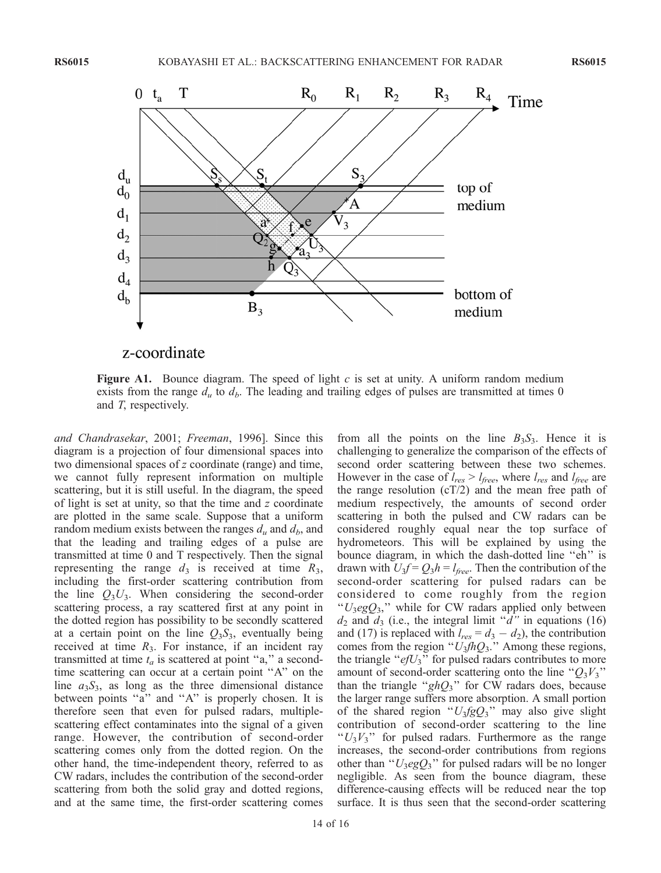

z-coordinate

**Figure A1.** Bounce diagram. The speed of light c is set at unity. A uniform random medium exists from the range  $d_u$  to  $d_b$ . The leading and trailing edges of pulses are transmitted at times 0 and T, respectively.

and Chandrasekar, 2001; Freeman, 1996]. Since this diagram is a projection of four dimensional spaces into two dimensional spaces of z coordinate (range) and time, we cannot fully represent information on multiple scattering, but it is still useful. In the diagram, the speed of light is set at unity, so that the time and z coordinate are plotted in the same scale. Suppose that a uniform random medium exists between the ranges  $d_u$  and  $d_b$ , and that the leading and trailing edges of a pulse are transmitted at time 0 and T respectively. Then the signal representing the range  $d_3$  is received at time  $R_3$ , including the first-order scattering contribution from the line  $Q_3U_3$ . When considering the second-order scattering process, a ray scattered first at any point in the dotted region has possibility to be secondly scattered at a certain point on the line  $Q_3S_3$ , eventually being received at time  $R_3$ . For instance, if an incident ray transmitted at time  $t_a$  is scattered at point "a," a secondtime scattering can occur at a certain point ''A'' on the line  $a_3S_3$ , as long as the three dimensional distance between points "a" and "A" is properly chosen. It is therefore seen that even for pulsed radars, multiplescattering effect contaminates into the signal of a given range. However, the contribution of second-order scattering comes only from the dotted region. On the other hand, the time-independent theory, referred to as CW radars, includes the contribution of the second-order scattering from both the solid gray and dotted regions, and at the same time, the first-order scattering comes

from all the points on the line  $B_3S_3$ . Hence it is challenging to generalize the comparison of the effects of second order scattering between these two schemes. However in the case of  $l_{res} > l_{free}$ , where  $l_{res}$  and  $l_{free}$  are the range resolution  $(cT/2)$  and the mean free path of medium respectively, the amounts of second order scattering in both the pulsed and CW radars can be considered roughly equal near the top surface of hydrometeors. This will be explained by using the bounce diagram, in which the dash-dotted line ''eh'' is drawn with  $U_3f = Q_3h = l_{free}$ . Then the contribution of the second-order scattering for pulsed radars can be considered to come roughly from the region " $U_3egQ_3$ ," while for CW radars applied only between  $d_2$  and  $d_3$  (i.e., the integral limit "d" in equations (16) and (17) is replaced with  $l_{res} = d_3 - d_2$ ), the contribution comes from the region " $U_3$ fhQ<sub>3</sub>." Among these regions, the triangle " $efU_3$ " for pulsed radars contributes to more amount of second-order scattering onto the line " $Q_3V_3$ " than the triangle " $ghQ_3$ " for CW radars does, because the larger range suffers more absorption. A small portion of the shared region " $U_3fgQ_3$ " may also give slight contribution of second-order scattering to the line " $U_3V_3$ " for pulsed radars. Furthermore as the range increases, the second-order contributions from regions other than " $U_3egQ_3$ " for pulsed radars will be no longer negligible. As seen from the bounce diagram, these difference-causing effects will be reduced near the top surface. It is thus seen that the second-order scattering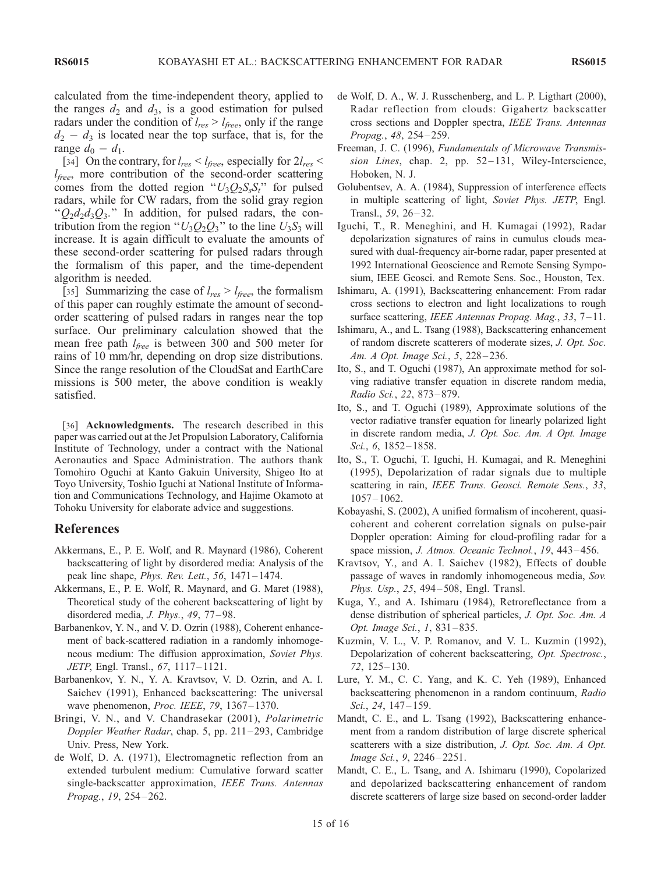calculated from the time-independent theory, applied to the ranges  $d_2$  and  $d_3$ , is a good estimation for pulsed radars under the condition of  $l_{res} > l_{free}$ , only if the range  $d_2 - d_3$  is located near the top surface, that is, for the range  $d_0 - d_1$ .

[34] On the contrary, for  $l_{res} < l_{free}$ , especially for  $2l_{res}$  $l_{\text{free}}$ , more contribution of the second-order scattering comes from the dotted region " $U_3Q_2S_8S_t$ " for pulsed radars, while for CW radars, from the solid gray region " $Q_2d_2d_3Q_3$ ." In addition, for pulsed radars, the contribution from the region " $U_3Q_2Q_3$ " to the line  $U_3S_3$  will increase. It is again difficult to evaluate the amounts of these second-order scattering for pulsed radars through the formalism of this paper, and the time-dependent algorithm is needed.

[35] Summarizing the case of  $l_{res} > l_{free}$ , the formalism of this paper can roughly estimate the amount of secondorder scattering of pulsed radars in ranges near the top surface. Our preliminary calculation showed that the mean free path  $l_{\text{free}}$  is between 300 and 500 meter for rains of 10 mm/hr, depending on drop size distributions. Since the range resolution of the CloudSat and EarthCare missions is 500 meter, the above condition is weakly satisfied.

[36] Acknowledgments. The research described in this paper was carried out at the Jet Propulsion Laboratory, California Institute of Technology, under a contract with the National Aeronautics and Space Administration. The authors thank Tomohiro Oguchi at Kanto Gakuin University, Shigeo Ito at Toyo University, Toshio Iguchi at National Institute of Information and Communications Technology, and Hajime Okamoto at Tohoku University for elaborate advice and suggestions.

#### References

- Akkermans, E., P. E. Wolf, and R. Maynard (1986), Coherent backscattering of light by disordered media: Analysis of the peak line shape, *Phys. Rev. Lett.*, 56, 1471-1474.
- Akkermans, E., P. E. Wolf, R. Maynard, and G. Maret (1988), Theoretical study of the coherent backscattering of light by disordered media, J. Phys., 49, 77-98.
- Barbanenkov, Y. N., and V. D. Ozrin (1988), Coherent enhancement of back-scattered radiation in a randomly inhomogeneous medium: The diffusion approximation, *Soviet Phys.* JETP, Engl. Transl., 67, 1117-1121.
- Barbanenkov, Y. N., Y. A. Kravtsov, V. D. Ozrin, and A. I. Saichev (1991), Enhanced backscattering: The universal wave phenomenon, Proc. IEEE, 79, 1367-1370.
- Bringi, V. N., and V. Chandrasekar (2001), Polarimetric Doppler Weather Radar, chap. 5, pp. 211 – 293, Cambridge Univ. Press, New York.
- de Wolf, D. A. (1971), Electromagnetic reflection from an extended turbulent medium: Cumulative forward scatter single-backscatter approximation, IEEE Trans. Antennas Propag., 19, 254-262.
- de Wolf, D. A., W. J. Russchenberg, and L. P. Ligthart (2000), Radar reflection from clouds: Gigahertz backscatter cross sections and Doppler spectra, IEEE Trans. Antennas Propag., 48, 254-259.
- Freeman, J. C. (1996), Fundamentals of Microwave Transmission Lines, chap. 2, pp. 52-131, Wiley-Interscience, Hoboken, N. J.
- Golubentsev, A. A. (1984), Suppression of interference effects in multiple scattering of light, Soviet Phys. JETP, Engl. Transl., 59, 26-32.
- Iguchi, T., R. Meneghini, and H. Kumagai (1992), Radar depolarization signatures of rains in cumulus clouds measured with dual-frequency air-borne radar, paper presented at 1992 International Geoscience and Remote Sensing Symposium, IEEE Geosci. and Remote Sens. Soc., Houston, Tex.
- Ishimaru, A. (1991), Backscattering enhancement: From radar cross sections to electron and light localizations to rough surface scattering, IEEE Antennas Propag. Mag., 33, 7-11.
- Ishimaru, A., and L. Tsang (1988), Backscattering enhancement of random discrete scatterers of moderate sizes, J. Opt. Soc. Am. A Opt. Image Sci., 5, 228-236.
- Ito, S., and T. Oguchi (1987), An approximate method for solving radiative transfer equation in discrete random media, Radio Sci., 22, 873 – 879.
- Ito, S., and T. Oguchi (1989), Approximate solutions of the vector radiative transfer equation for linearly polarized light in discrete random media, J. Opt. Soc. Am. A Opt. Image Sci., 6, 1852-1858.
- Ito, S., T. Oguchi, T. Iguchi, H. Kumagai, and R. Meneghini (1995), Depolarization of radar signals due to multiple scattering in rain, IEEE Trans. Geosci. Remote Sens., 33, 1057 – 1062.
- Kobayashi, S. (2002), A unified formalism of incoherent, quasicoherent and coherent correlation signals on pulse-pair Doppler operation: Aiming for cloud-profiling radar for a space mission, J. Atmos. Oceanic Technol., 19, 443-456.
- Kravtsov, Y., and A. I. Saichev (1982), Effects of double passage of waves in randomly inhomogeneous media, Sov. Phys. Usp., 25, 494–508, Engl. Transl.
- Kuga, Y., and A. Ishimaru (1984), Retroreflectance from a dense distribution of spherical particles, J. Opt. Soc. Am. A Opt. Image Sci., 1, 831-835.
- Kuzmin, V. L., V. P. Romanov, and V. L. Kuzmin (1992), Depolarization of coherent backscattering, Opt. Spectrosc.,  $72, 125 - 130.$
- Lure, Y. M., C. C. Yang, and K. C. Yeh (1989), Enhanced backscattering phenomenon in a random continuum, Radio Sci., 24, 147-159.
- Mandt, C. E., and L. Tsang (1992), Backscattering enhancement from a random distribution of large discrete spherical scatterers with a size distribution, J. Opt. Soc. Am. A Opt. Image Sci., 9, 2246 – 2251.
- Mandt, C. E., L. Tsang, and A. Ishimaru (1990), Copolarized and depolarized backscattering enhancement of random discrete scatterers of large size based on second-order ladder